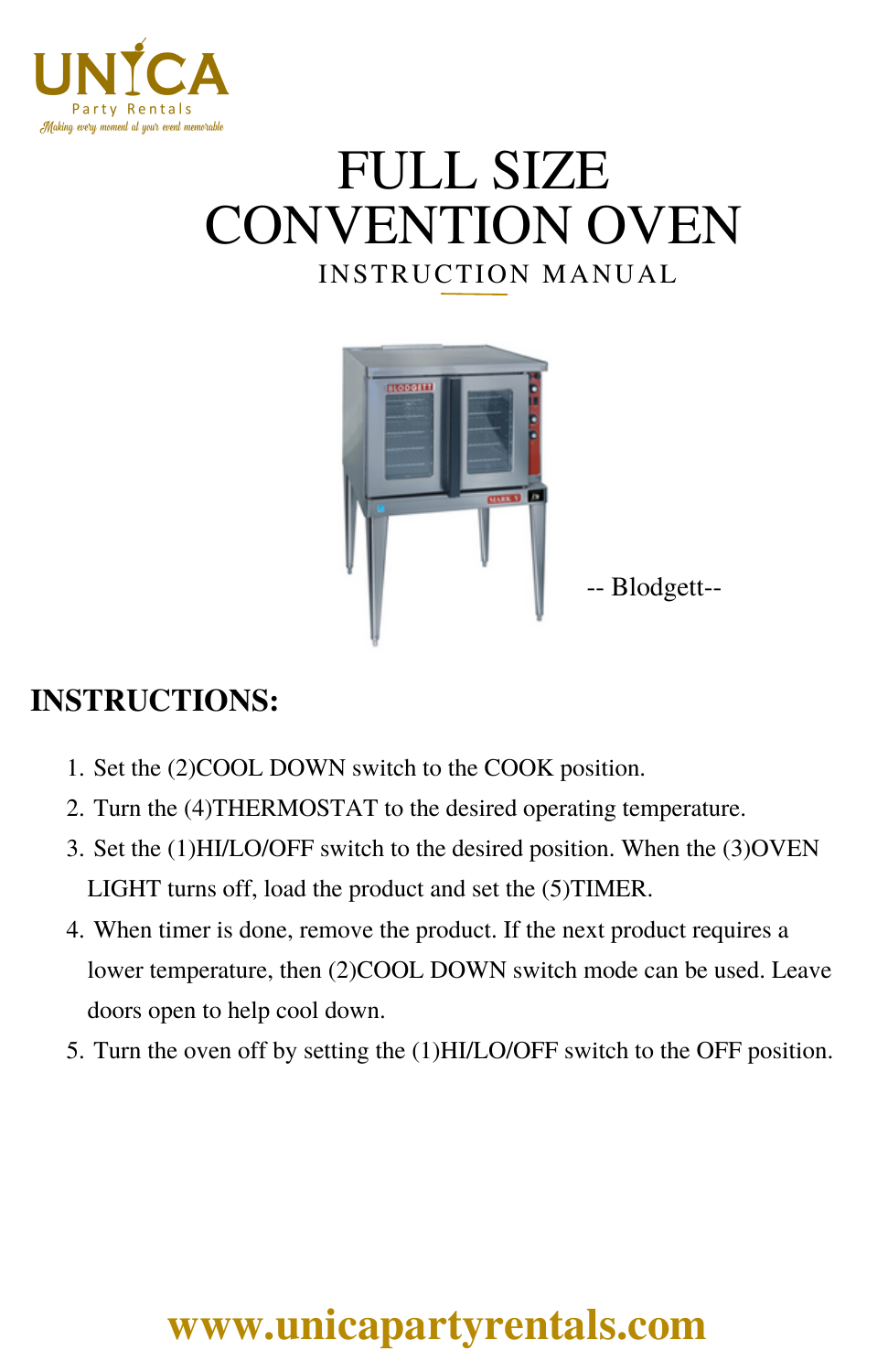

# INSTRUCTION MANUAL FULL SIZE CONVENTION OVEN



#### **INSTRUCTIONS:**

- 1. Set the (2)COOL DOWN switch to the COOK position.
- 2. Turn the (4)THERMOSTAT to the desired operating temperature.
- Set the (1)HI/LO/OFF switch to the desired position. When the (3)OVEN 3. LIGHT turns off, load the product and set the (5)TIMER.
- When timer is done, remove the product. If the next product requires a 4. lower temperature, then (2)COOL DOWN switch mode can be used. Leave doors open to help cool down.
- 5. Turn the oven off by setting the (1)HI/LO/OFF switch to the OFF position.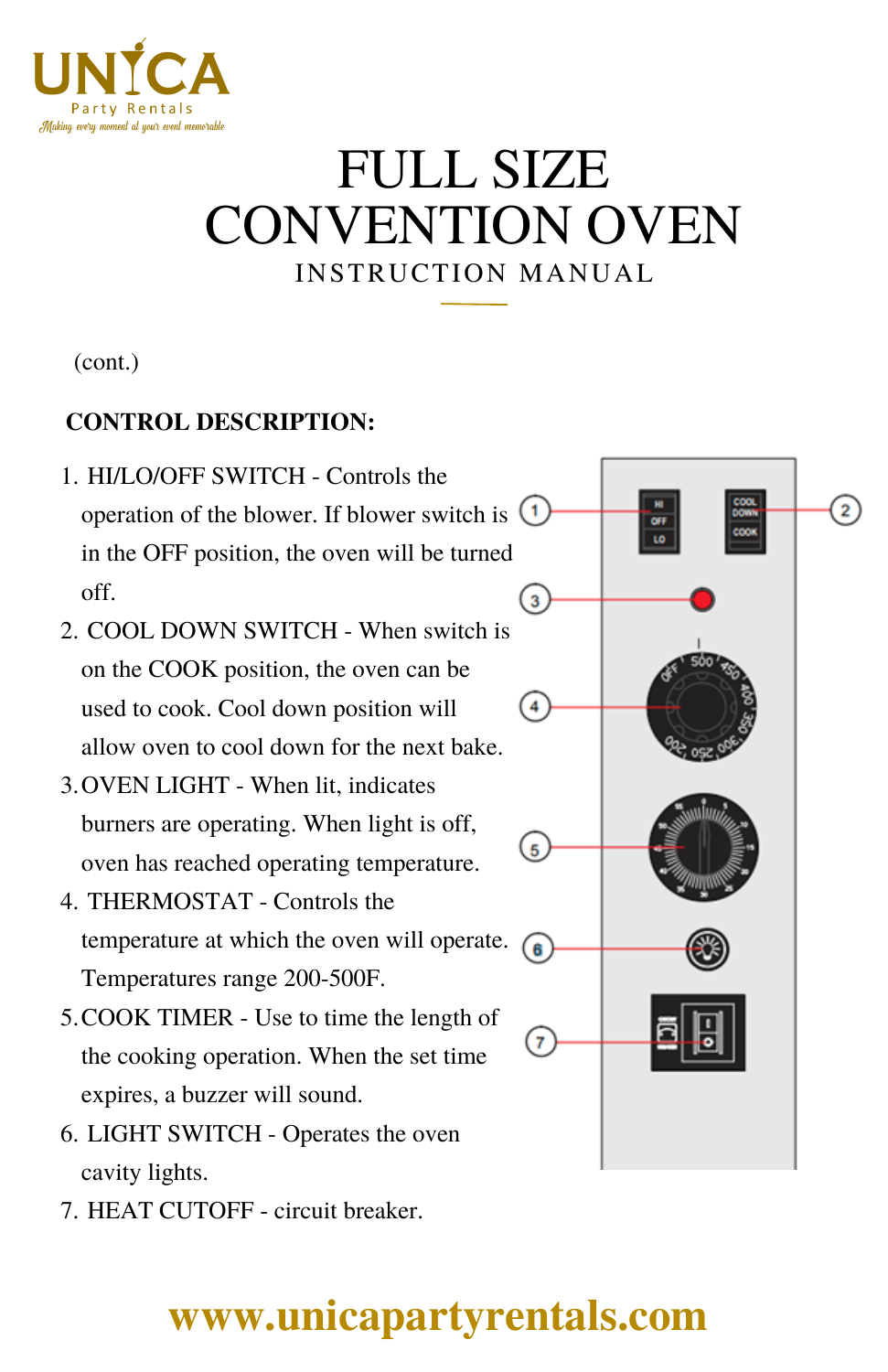

## INSTRUCTION MANUAL FULL SIZE CONVENTION OVEN

3

 $\overline{4}$ 

 $\overline{5}$ 

6

 $\overline{7}$ 

(cont.)

#### **CONTROL DESCRIPTION:**

- HI/LO/OFF SWITCH Controls the 1. operation of the blower. If blower switch is  $(1)$ in the OFF position, the oven will be turned off.
- 2. COOL DOWN SWITCH When switch is on the COOK position, the oven can be used to cook. Cool down position will allow oven to cool down for the next bake.
- OVEN LIGHT When lit, indicates 3. burners are operating. When light is off, oven has reached operating temperature.
- THERMOSTAT Controls the 4. temperature at which the oven will operate. Temperatures range 200-500F.
- 5. COOK TIMER Use to time the length of the cooking operation. When the set time expires, a buzzer will sound.
- LIGHT SWITCH Operates the oven 6. cavity lights.
- 7. HEAT CUTOFF circuit breaker.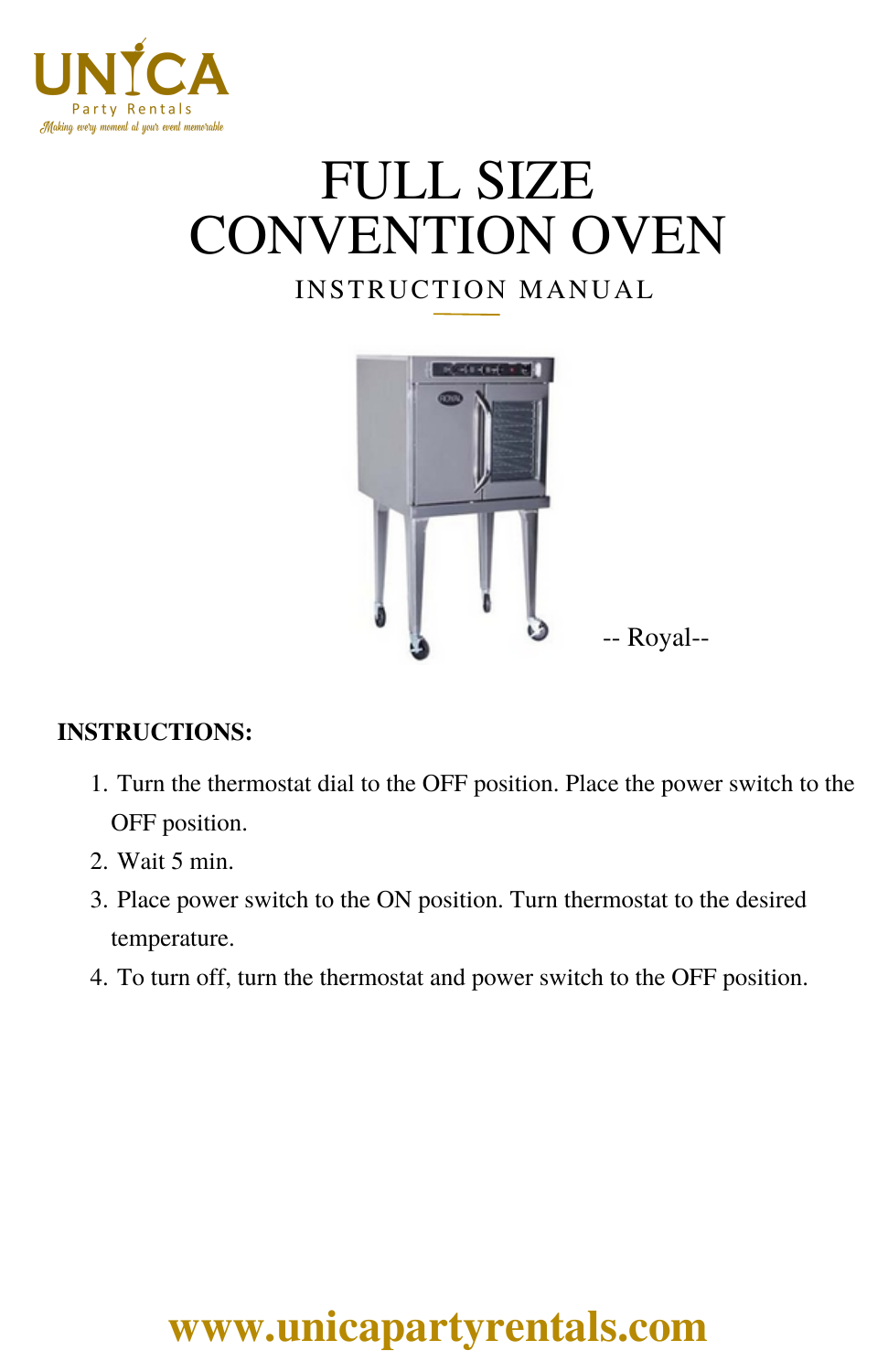

# INSTRUCTION MANUAL FULL SIZE CONVENTION OVEN

# -- Royal--

#### **INSTRUCTIONS:**

- 1. Turn the thermostat dial to the OFF position. Place the power switch to the OFF position.
- Wait 5 min. 2.
- 3. Place power switch to the ON position. Turn thermostat to the desired temperature.
- 4. To turn off, turn the thermostat and power switch to the OFF position.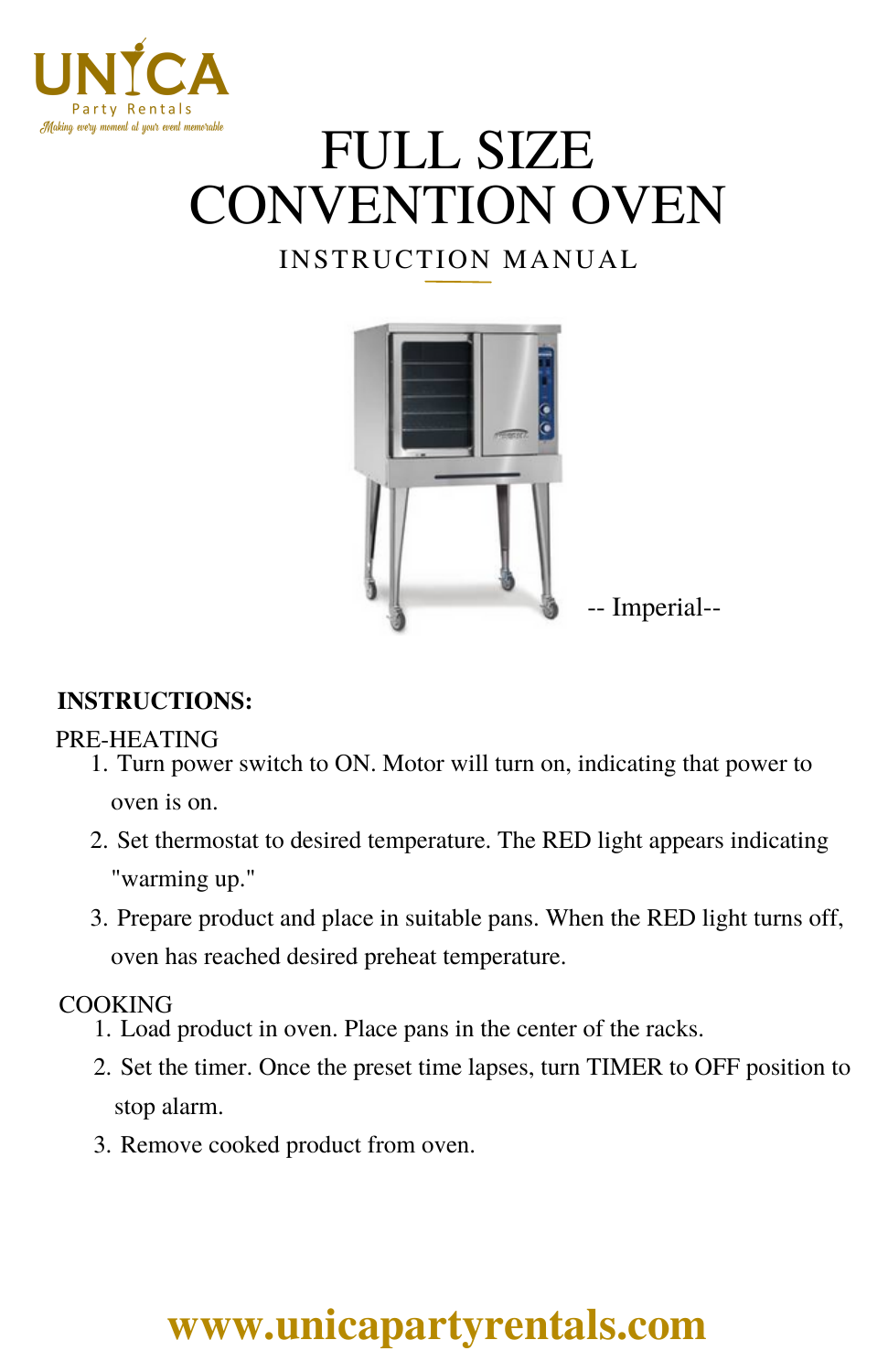

# FULL SIZE CONVENTION OVEN

#### INSTRUCTION MANUAL



#### **INSTRUCTIONS:**

#### PRE-HEATING

- 1. Turn power switch to ON. Motor will turn on, indicating that power to oven is on.
- 2. Set thermostat to desired temperature. The RED light appears indicating "warming up."
- 3. Prepare product and place in suitable pans. When the RED light turns off, oven has reached desired preheat temperature.

#### COOKING

- 1. Load product in oven. Place pans in the center of the racks.
- 2. Set the timer. Once the preset time lapses, turn TIMER to OFF position to stop alarm.
- 3. Remove cooked product from oven.